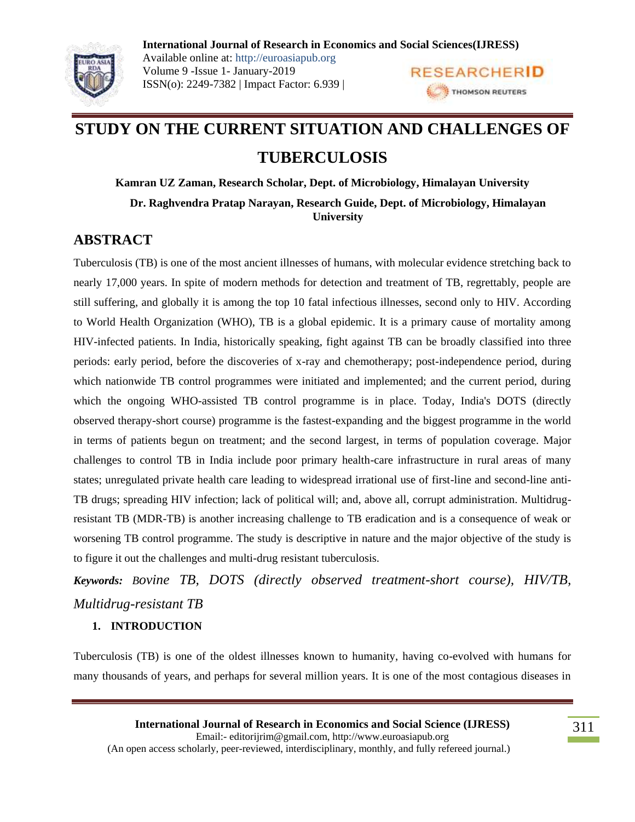

**International Journal of Research in Economics and Social Sciences(IJRESS)** Available online at: http://euroasiapub.org Volume 9 -Issue 1- January-2019 **RESEARCHERID** ISSN(o): 2249-7382 | Impact Factor: 6.939 | THOMSON REUTERS

# **STUDY ON THE CURRENT SITUATION AND CHALLENGES OF TUBERCULOSIS**

**Kamran UZ Zaman, Research Scholar, Dept. of Microbiology, Himalayan University Dr. Raghvendra Pratap Narayan, Research Guide, Dept. of Microbiology, Himalayan University**

# **ABSTRACT**

Tuberculosis (TB) is one of the most ancient illnesses of humans, with molecular evidence stretching back to nearly 17,000 years. In spite of modern methods for detection and treatment of TB, regrettably, people are still suffering, and globally it is among the top 10 fatal infectious illnesses, second only to HIV. According to World Health Organization (WHO), TB is a global epidemic. It is a primary cause of mortality among HIV-infected patients. In India, historically speaking, fight against TB can be broadly classified into three periods: early period, before the discoveries of x-ray and chemotherapy; post-independence period, during which nationwide TB control programmes were initiated and implemented; and the current period, during which the ongoing WHO-assisted TB control programme is in place. Today, India's DOTS (directly observed therapy-short course) programme is the fastest-expanding and the biggest programme in the world in terms of patients begun on treatment; and the second largest, in terms of population coverage. Major challenges to control TB in India include poor primary health-care infrastructure in rural areas of many states; unregulated private health care leading to widespread irrational use of first-line and second-line anti-TB drugs; spreading HIV infection; lack of political will; and, above all, corrupt administration. Multidrugresistant TB (MDR-TB) is another increasing challenge to TB eradication and is a consequence of weak or worsening TB control programme. The study is descriptive in nature and the major objective of the study is to figure it out the challenges and multi-drug resistant tuberculosis.

*Keywords: Bovine TB, DOTS (directly observed treatment-short course), HIV/TB, Multidrug-resistant TB*

# **1. INTRODUCTION**

Tuberculosis (TB) is one of the oldest illnesses known to humanity, having co-evolved with humans for many thousands of years, and perhaps for several million years. It is one of the most contagious diseases in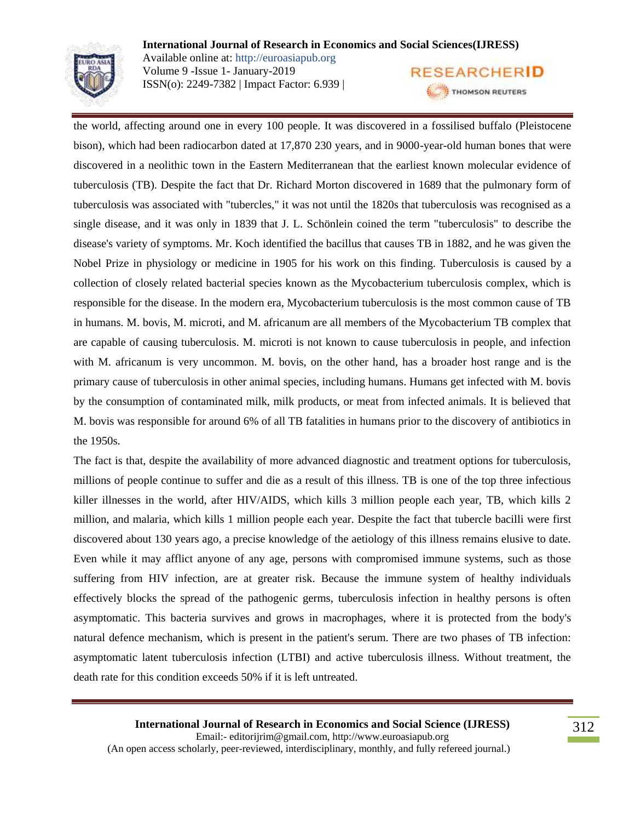

**International Journal of Research in Economics and Social Sciences(IJRESS)** Available online at: http://euroasiapub.org Volume 9 -Issue 1- January-2019 **RESEARCHERID** ISSN(o): 2249-7382 | Impact Factor: 6.939 | THOMSON REUTERS

the world, affecting around one in every 100 people. It was discovered in a fossilised buffalo (Pleistocene bison), which had been radiocarbon dated at 17,870 230 years, and in 9000-year-old human bones that were discovered in a neolithic town in the Eastern Mediterranean that the earliest known molecular evidence of tuberculosis (TB). Despite the fact that Dr. Richard Morton discovered in 1689 that the pulmonary form of tuberculosis was associated with "tubercles," it was not until the 1820s that tuberculosis was recognised as a single disease, and it was only in 1839 that J. L. Schönlein coined the term "tuberculosis" to describe the disease's variety of symptoms. Mr. Koch identified the bacillus that causes TB in 1882, and he was given the Nobel Prize in physiology or medicine in 1905 for his work on this finding. Tuberculosis is caused by a collection of closely related bacterial species known as the Mycobacterium tuberculosis complex, which is responsible for the disease. In the modern era, Mycobacterium tuberculosis is the most common cause of TB in humans. M. bovis, M. microti, and M. africanum are all members of the Mycobacterium TB complex that are capable of causing tuberculosis. M. microti is not known to cause tuberculosis in people, and infection with M. africanum is very uncommon. M. bovis, on the other hand, has a broader host range and is the primary cause of tuberculosis in other animal species, including humans. Humans get infected with M. bovis by the consumption of contaminated milk, milk products, or meat from infected animals. It is believed that M. bovis was responsible for around 6% of all TB fatalities in humans prior to the discovery of antibiotics in the 1950s.

The fact is that, despite the availability of more advanced diagnostic and treatment options for tuberculosis, millions of people continue to suffer and die as a result of this illness. TB is one of the top three infectious killer illnesses in the world, after HIV/AIDS, which kills 3 million people each year, TB, which kills 2 million, and malaria, which kills 1 million people each year. Despite the fact that tubercle bacilli were first discovered about 130 years ago, a precise knowledge of the aetiology of this illness remains elusive to date. Even while it may afflict anyone of any age, persons with compromised immune systems, such as those suffering from HIV infection, are at greater risk. Because the immune system of healthy individuals effectively blocks the spread of the pathogenic germs, tuberculosis infection in healthy persons is often asymptomatic. This bacteria survives and grows in macrophages, where it is protected from the body's natural defence mechanism, which is present in the patient's serum. There are two phases of TB infection: asymptomatic latent tuberculosis infection (LTBI) and active tuberculosis illness. Without treatment, the death rate for this condition exceeds 50% if it is left untreated.

**International Journal of Research in Economics and Social Science (IJRESS)** Email:- editorijrim@gmail.com, http://www.euroasiapub.org (An open access scholarly, peer-reviewed, interdisciplinary, monthly, and fully refereed journal.)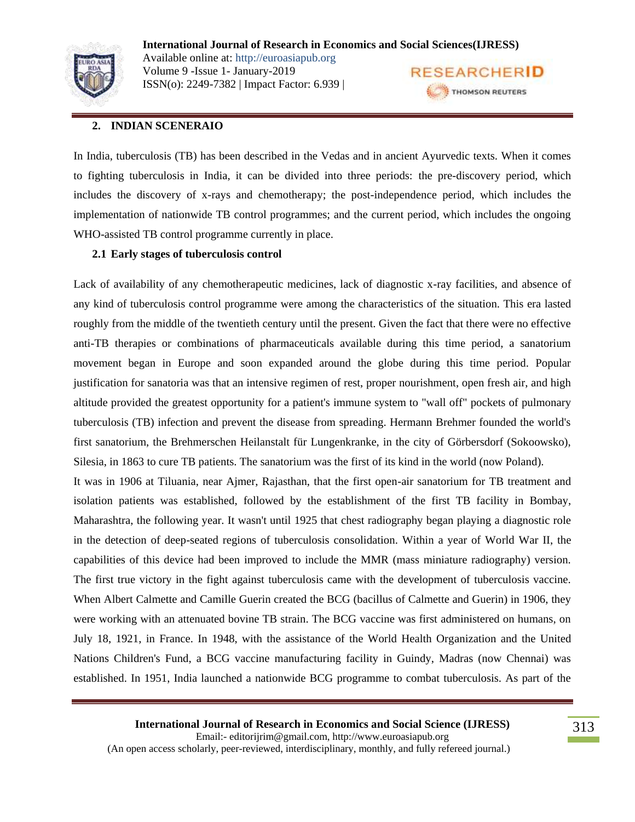

**International Journal of Research in Economics and Social Sciences(IJRESS)** Available online at: http://euroasiapub.org Volume 9 -Issue 1- January-2019 **RESEARCHERID** ISSN(o): 2249-7382 | Impact Factor: 6.939 | THOMSON REUTERS

# **2. INDIAN SCENERAIO**

In India, tuberculosis (TB) has been described in the Vedas and in ancient Ayurvedic texts. When it comes to fighting tuberculosis in India, it can be divided into three periods: the pre-discovery period, which includes the discovery of x-rays and chemotherapy; the post-independence period, which includes the implementation of nationwide TB control programmes; and the current period, which includes the ongoing WHO-assisted TB control programme currently in place.

#### **2.1 Early stages of tuberculosis control**

Lack of availability of any chemotherapeutic medicines, lack of diagnostic x-ray facilities, and absence of any kind of tuberculosis control programme were among the characteristics of the situation. This era lasted roughly from the middle of the twentieth century until the present. Given the fact that there were no effective anti-TB therapies or combinations of pharmaceuticals available during this time period, a sanatorium movement began in Europe and soon expanded around the globe during this time period. Popular justification for sanatoria was that an intensive regimen of rest, proper nourishment, open fresh air, and high altitude provided the greatest opportunity for a patient's immune system to "wall off" pockets of pulmonary tuberculosis (TB) infection and prevent the disease from spreading. Hermann Brehmer founded the world's first sanatorium, the Brehmerschen Heilanstalt für Lungenkranke, in the city of Görbersdorf (Sokoowsko), Silesia, in 1863 to cure TB patients. The sanatorium was the first of its kind in the world (now Poland).

It was in 1906 at Tiluania, near Ajmer, Rajasthan, that the first open-air sanatorium for TB treatment and isolation patients was established, followed by the establishment of the first TB facility in Bombay, Maharashtra, the following year. It wasn't until 1925 that chest radiography began playing a diagnostic role in the detection of deep-seated regions of tuberculosis consolidation. Within a year of World War II, the capabilities of this device had been improved to include the MMR (mass miniature radiography) version. The first true victory in the fight against tuberculosis came with the development of tuberculosis vaccine. When Albert Calmette and Camille Guerin created the BCG (bacillus of Calmette and Guerin) in 1906, they were working with an attenuated bovine TB strain. The BCG vaccine was first administered on humans, on July 18, 1921, in France. In 1948, with the assistance of the World Health Organization and the United Nations Children's Fund, a BCG vaccine manufacturing facility in Guindy, Madras (now Chennai) was established. In 1951, India launched a nationwide BCG programme to combat tuberculosis. As part of the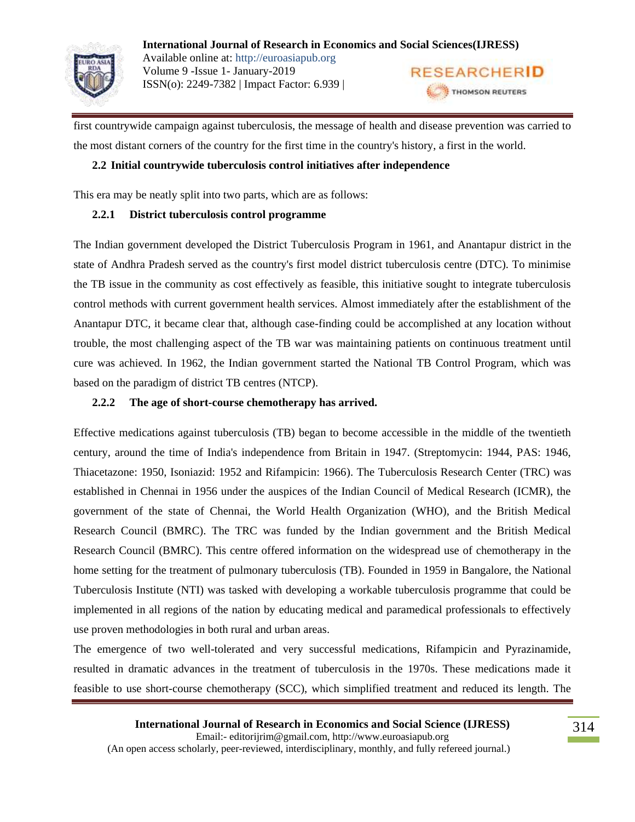

first countrywide campaign against tuberculosis, the message of health and disease prevention was carried to the most distant corners of the country for the first time in the country's history, a first in the world.

# **2.2 Initial countrywide tuberculosis control initiatives after independence**

This era may be neatly split into two parts, which are as follows:

# **2.2.1 District tuberculosis control programme**

The Indian government developed the District Tuberculosis Program in 1961, and Anantapur district in the state of Andhra Pradesh served as the country's first model district tuberculosis centre (DTC). To minimise the TB issue in the community as cost effectively as feasible, this initiative sought to integrate tuberculosis control methods with current government health services. Almost immediately after the establishment of the Anantapur DTC, it became clear that, although case-finding could be accomplished at any location without trouble, the most challenging aspect of the TB war was maintaining patients on continuous treatment until cure was achieved. In 1962, the Indian government started the National TB Control Program, which was based on the paradigm of district TB centres (NTCP).

# **2.2.2 The age of short-course chemotherapy has arrived.**

Effective medications against tuberculosis (TB) began to become accessible in the middle of the twentieth century, around the time of India's independence from Britain in 1947. (Streptomycin: 1944, PAS: 1946, Thiacetazone: 1950, Isoniazid: 1952 and Rifampicin: 1966). The Tuberculosis Research Center (TRC) was established in Chennai in 1956 under the auspices of the Indian Council of Medical Research (ICMR), the government of the state of Chennai, the World Health Organization (WHO), and the British Medical Research Council (BMRC). The TRC was funded by the Indian government and the British Medical Research Council (BMRC). This centre offered information on the widespread use of chemotherapy in the home setting for the treatment of pulmonary tuberculosis (TB). Founded in 1959 in Bangalore, the National Tuberculosis Institute (NTI) was tasked with developing a workable tuberculosis programme that could be implemented in all regions of the nation by educating medical and paramedical professionals to effectively use proven methodologies in both rural and urban areas.

The emergence of two well-tolerated and very successful medications, Rifampicin and Pyrazinamide, resulted in dramatic advances in the treatment of tuberculosis in the 1970s. These medications made it feasible to use short-course chemotherapy (SCC), which simplified treatment and reduced its length. The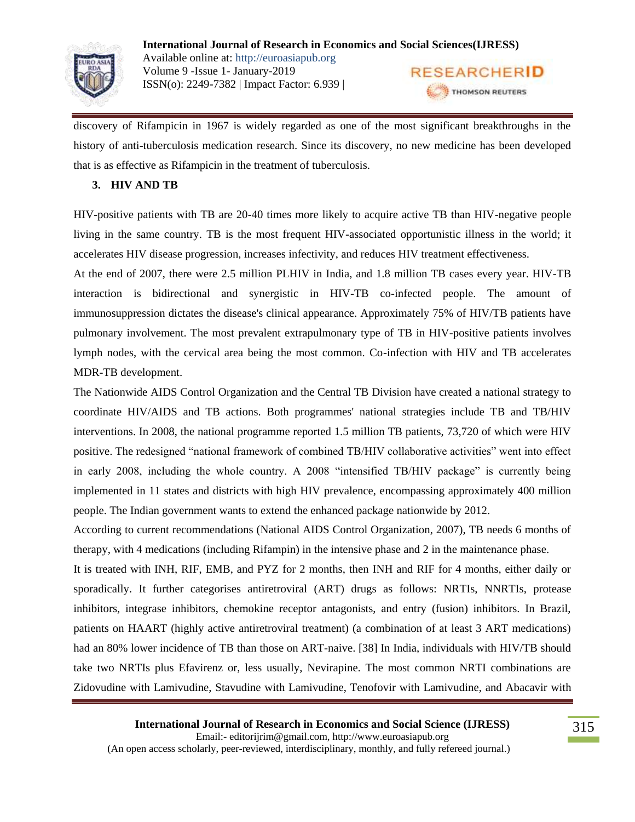

discovery of Rifampicin in 1967 is widely regarded as one of the most significant breakthroughs in the history of anti-tuberculosis medication research. Since its discovery, no new medicine has been developed that is as effective as Rifampicin in the treatment of tuberculosis.

#### **3. HIV AND TB**

HIV-positive patients with TB are 20-40 times more likely to acquire active TB than HIV-negative people living in the same country. TB is the most frequent HIV-associated opportunistic illness in the world; it accelerates HIV disease progression, increases infectivity, and reduces HIV treatment effectiveness.

At the end of 2007, there were 2.5 million PLHIV in India, and 1.8 million TB cases every year. HIV-TB interaction is bidirectional and synergistic in HIV-TB co-infected people. The amount of immunosuppression dictates the disease's clinical appearance. Approximately 75% of HIV/TB patients have pulmonary involvement. The most prevalent extrapulmonary type of TB in HIV-positive patients involves lymph nodes, with the cervical area being the most common. Co-infection with HIV and TB accelerates MDR-TB development.

The Nationwide AIDS Control Organization and the Central TB Division have created a national strategy to coordinate HIV/AIDS and TB actions. Both programmes' national strategies include TB and TB/HIV interventions. In 2008, the national programme reported 1.5 million TB patients, 73,720 of which were HIV positive. The redesigned "national framework of combined TB/HIV collaborative activities" went into effect in early 2008, including the whole country. A 2008 "intensified TB/HIV package" is currently being implemented in 11 states and districts with high HIV prevalence, encompassing approximately 400 million people. The Indian government wants to extend the enhanced package nationwide by 2012.

According to current recommendations (National AIDS Control Organization, 2007), TB needs 6 months of therapy, with 4 medications (including Rifampin) in the intensive phase and 2 in the maintenance phase.

It is treated with INH, RIF, EMB, and PYZ for 2 months, then INH and RIF for 4 months, either daily or sporadically. It further categorises antiretroviral (ART) drugs as follows: NRTIs, NNRTIs, protease inhibitors, integrase inhibitors, chemokine receptor antagonists, and entry (fusion) inhibitors. In Brazil, patients on HAART (highly active antiretroviral treatment) (a combination of at least 3 ART medications) had an 80% lower incidence of TB than those on ART-naive. [38] In India, individuals with HIV/TB should take two NRTIs plus Efavirenz or, less usually, Nevirapine. The most common NRTI combinations are Zidovudine with Lamivudine, Stavudine with Lamivudine, Tenofovir with Lamivudine, and Abacavir with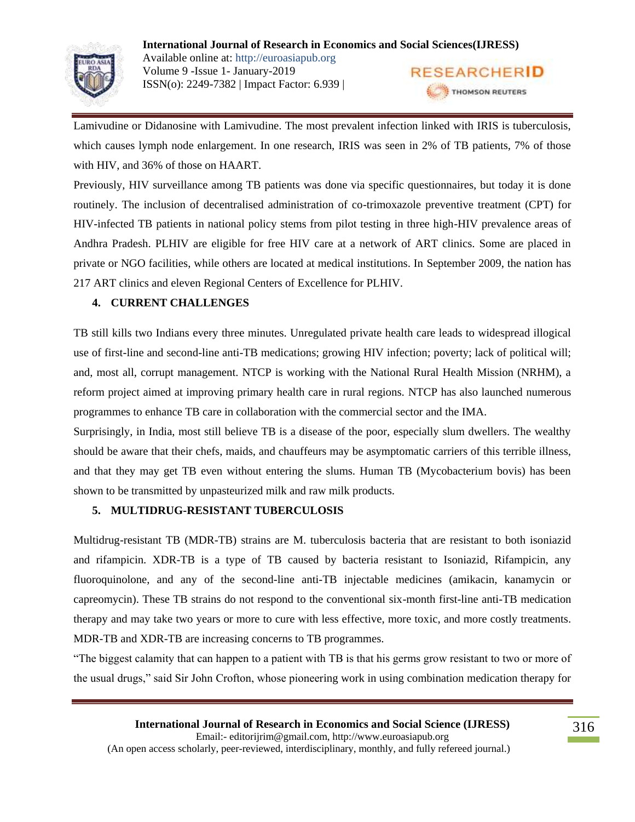

Lamivudine or Didanosine with Lamivudine. The most prevalent infection linked with IRIS is tuberculosis, which causes lymph node enlargement. In one research, IRIS was seen in 2% of TB patients, 7% of those with HIV, and 36% of those on HAART.

Previously, HIV surveillance among TB patients was done via specific questionnaires, but today it is done routinely. The inclusion of decentralised administration of co-trimoxazole preventive treatment (CPT) for HIV-infected TB patients in national policy stems from pilot testing in three high-HIV prevalence areas of Andhra Pradesh. PLHIV are eligible for free HIV care at a network of ART clinics. Some are placed in private or NGO facilities, while others are located at medical institutions. In September 2009, the nation has 217 ART clinics and eleven Regional Centers of Excellence for PLHIV.

# **4. CURRENT CHALLENGES**

TB still kills two Indians every three minutes. Unregulated private health care leads to widespread illogical use of first-line and second-line anti-TB medications; growing HIV infection; poverty; lack of political will; and, most all, corrupt management. NTCP is working with the National Rural Health Mission (NRHM), a reform project aimed at improving primary health care in rural regions. NTCP has also launched numerous programmes to enhance TB care in collaboration with the commercial sector and the IMA.

Surprisingly, in India, most still believe TB is a disease of the poor, especially slum dwellers. The wealthy should be aware that their chefs, maids, and chauffeurs may be asymptomatic carriers of this terrible illness, and that they may get TB even without entering the slums. Human TB (Mycobacterium bovis) has been shown to be transmitted by unpasteurized milk and raw milk products.

#### **5. MULTIDRUG-RESISTANT TUBERCULOSIS**

Multidrug-resistant TB (MDR-TB) strains are M. tuberculosis bacteria that are resistant to both isoniazid and rifampicin. XDR-TB is a type of TB caused by bacteria resistant to Isoniazid, Rifampicin, any fluoroquinolone, and any of the second-line anti-TB injectable medicines (amikacin, kanamycin or capreomycin). These TB strains do not respond to the conventional six-month first-line anti-TB medication therapy and may take two years or more to cure with less effective, more toxic, and more costly treatments. MDR-TB and XDR-TB are increasing concerns to TB programmes.

"The biggest calamity that can happen to a patient with TB is that his germs grow resistant to two or more of the usual drugs," said Sir John Crofton, whose pioneering work in using combination medication therapy for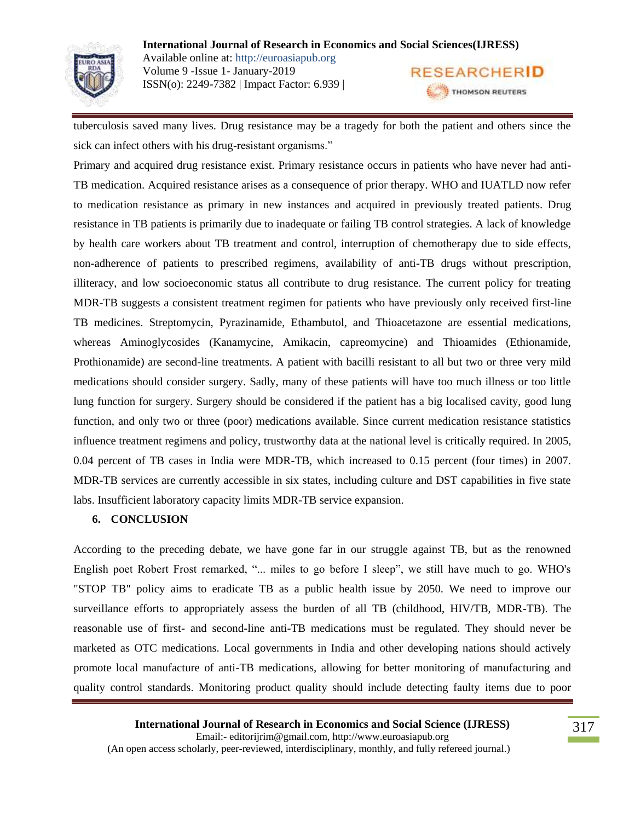

tuberculosis saved many lives. Drug resistance may be a tragedy for both the patient and others since the sick can infect others with his drug-resistant organisms."

Primary and acquired drug resistance exist. Primary resistance occurs in patients who have never had anti-TB medication. Acquired resistance arises as a consequence of prior therapy. WHO and IUATLD now refer to medication resistance as primary in new instances and acquired in previously treated patients. Drug resistance in TB patients is primarily due to inadequate or failing TB control strategies. A lack of knowledge by health care workers about TB treatment and control, interruption of chemotherapy due to side effects, non-adherence of patients to prescribed regimens, availability of anti-TB drugs without prescription, illiteracy, and low socioeconomic status all contribute to drug resistance. The current policy for treating MDR-TB suggests a consistent treatment regimen for patients who have previously only received first-line TB medicines. Streptomycin, Pyrazinamide, Ethambutol, and Thioacetazone are essential medications, whereas Aminoglycosides (Kanamycine, Amikacin, capreomycine) and Thioamides (Ethionamide, Prothionamide) are second-line treatments. A patient with bacilli resistant to all but two or three very mild medications should consider surgery. Sadly, many of these patients will have too much illness or too little lung function for surgery. Surgery should be considered if the patient has a big localised cavity, good lung function, and only two or three (poor) medications available. Since current medication resistance statistics influence treatment regimens and policy, trustworthy data at the national level is critically required. In 2005, 0.04 percent of TB cases in India were MDR-TB, which increased to 0.15 percent (four times) in 2007. MDR-TB services are currently accessible in six states, including culture and DST capabilities in five state labs. Insufficient laboratory capacity limits MDR-TB service expansion.

# **6. CONCLUSION**

According to the preceding debate, we have gone far in our struggle against TB, but as the renowned English poet Robert Frost remarked, "... miles to go before I sleep", we still have much to go. WHO's "STOP TB" policy aims to eradicate TB as a public health issue by 2050. We need to improve our surveillance efforts to appropriately assess the burden of all TB (childhood, HIV/TB, MDR-TB). The reasonable use of first- and second-line anti-TB medications must be regulated. They should never be marketed as OTC medications. Local governments in India and other developing nations should actively promote local manufacture of anti-TB medications, allowing for better monitoring of manufacturing and quality control standards. Monitoring product quality should include detecting faulty items due to poor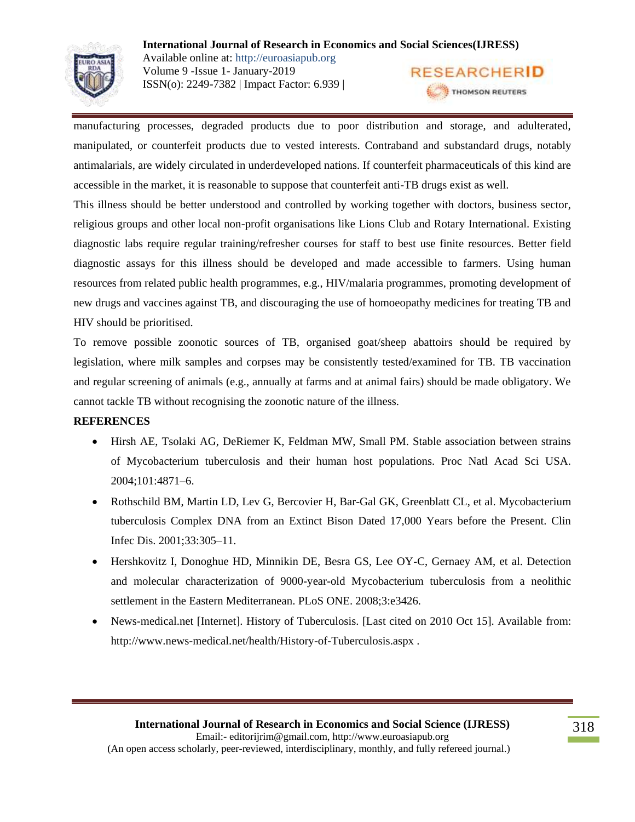

manufacturing processes, degraded products due to poor distribution and storage, and adulterated, manipulated, or counterfeit products due to vested interests. Contraband and substandard drugs, notably antimalarials, are widely circulated in underdeveloped nations. If counterfeit pharmaceuticals of this kind are accessible in the market, it is reasonable to suppose that counterfeit anti-TB drugs exist as well.

This illness should be better understood and controlled by working together with doctors, business sector, religious groups and other local non-profit organisations like Lions Club and Rotary International. Existing diagnostic labs require regular training/refresher courses for staff to best use finite resources. Better field diagnostic assays for this illness should be developed and made accessible to farmers. Using human resources from related public health programmes, e.g., HIV/malaria programmes, promoting development of new drugs and vaccines against TB, and discouraging the use of homoeopathy medicines for treating TB and HIV should be prioritised.

To remove possible zoonotic sources of TB, organised goat/sheep abattoirs should be required by legislation, where milk samples and corpses may be consistently tested/examined for TB. TB vaccination and regular screening of animals (e.g., annually at farms and at animal fairs) should be made obligatory. We cannot tackle TB without recognising the zoonotic nature of the illness.

#### **REFERENCES**

- Hirsh AE, Tsolaki AG, DeRiemer K, Feldman MW, Small PM. Stable association between strains of Mycobacterium tuberculosis and their human host populations. Proc Natl Acad Sci USA. 2004;101:4871–6.
- Rothschild BM, Martin LD, Lev G, Bercovier H, Bar-Gal GK, Greenblatt CL, et al. Mycobacterium tuberculosis Complex DNA from an Extinct Bison Dated 17,000 Years before the Present. Clin Infec Dis. 2001;33:305–11.
- Hershkovitz I, Donoghue HD, Minnikin DE, Besra GS, Lee OY-C, Gernaey AM, et al. Detection and molecular characterization of 9000-year-old Mycobacterium tuberculosis from a neolithic settlement in the Eastern Mediterranean. PLoS ONE. 2008;3:e3426.
- News-medical.net [Internet]. History of Tuberculosis. [Last cited on 2010 Oct 15]. Available from: http://www.news-medical.net/health/History-of-Tuberculosis.aspx .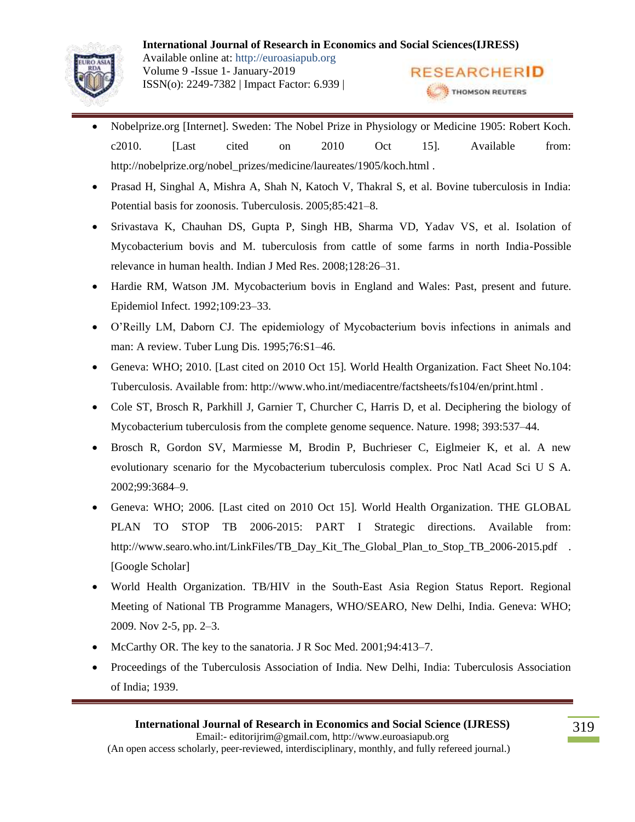

- Nobelprize.org [Internet]. Sweden: The Nobel Prize in Physiology or Medicine 1905: Robert Koch. c2010. [Last cited on 2010 Oct 15]. Available from: http://nobelprize.org/nobel\_prizes/medicine/laureates/1905/koch.html .
- Prasad H, Singhal A, Mishra A, Shah N, Katoch V, Thakral S, et al. Bovine tuberculosis in India: Potential basis for zoonosis. Tuberculosis. 2005;85:421–8.
- Srivastava K, Chauhan DS, Gupta P, Singh HB, Sharma VD, Yadav VS, et al. Isolation of Mycobacterium bovis and M. tuberculosis from cattle of some farms in north India-Possible relevance in human health. Indian J Med Res. 2008;128:26–31.
- Hardie RM, Watson JM. Mycobacterium bovis in England and Wales: Past, present and future. Epidemiol Infect. 1992;109:23–33.
- O'Reilly LM, Daborn CJ. The epidemiology of Mycobacterium bovis infections in animals and man: A review. Tuber Lung Dis. 1995;76:S1–46.
- Geneva: WHO; 2010. [Last cited on 2010 Oct 15]. World Health Organization. Fact Sheet No.104: Tuberculosis. Available from: http://www.who.int/mediacentre/factsheets/fs104/en/print.html .
- Cole ST, Brosch R, Parkhill J, Garnier T, Churcher C, Harris D, et al. Deciphering the biology of Mycobacterium tuberculosis from the complete genome sequence. Nature. 1998; 393:537–44.
- Brosch R, Gordon SV, Marmiesse M, Brodin P, Buchrieser C, Eiglmeier K, et al. A new evolutionary scenario for the Mycobacterium tuberculosis complex. Proc Natl Acad Sci U S A. 2002;99:3684–9.
- Geneva: WHO; 2006. [Last cited on 2010 Oct 15]. World Health Organization. THE GLOBAL PLAN TO STOP TB 2006-2015: PART I Strategic directions. Available from: http://www.searo.who.int/LinkFiles/TB\_Day\_Kit\_The\_Global\_Plan\_to\_Stop\_TB\_2006-2015.pdf . [Google Scholar]
- World Health Organization. TB/HIV in the South-East Asia Region Status Report. Regional Meeting of National TB Programme Managers, WHO/SEARO, New Delhi, India. Geneva: WHO; 2009. Nov 2-5, pp. 2–3.
- McCarthy OR. The key to the sanatoria. J R Soc Med. 2001;94:413–7.
- Proceedings of the Tuberculosis Association of India. New Delhi, India: Tuberculosis Association of India; 1939.